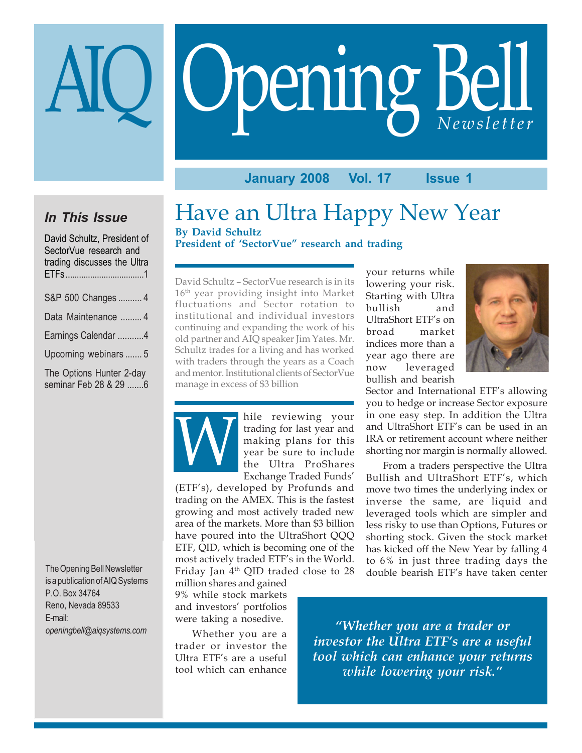# Opening Bell AIQ *Newsletter*

**January 2008 Vol. 17 Issue 1**

# *In This Issue*

| David Schultz, President of<br>SectorVue research and<br>trading discusses the Ultra |
|--------------------------------------------------------------------------------------|
| S&P 500 Changes  4                                                                   |
| Data Maintenance  4                                                                  |
| Earnings Calendar 4                                                                  |
| Upcoming webinars  5                                                                 |
| The Options Hunter 2-day<br>seminar Feb 28 & 29 6                                    |

The Opening Bell Newsletter is a publication of AIQ Systems P.O. Box 34764 Reno, Nevada 89533 E-mail: *openingbell@aiqsystems.com*

Have an Ultra Happy New Year **By David Schultz**

**President of 'SectorVue" research and trading**

David Schultz – SectorVue research is in its 16th year providing insight into Market fluctuations and Sector rotation to institutional and individual investors continuing and expanding the work of his old partner and AIQ speaker Jim Yates. Mr. Schultz trades for a living and has worked with traders through the years as a Coach and mentor. Institutional clients of SectorVue manage in excess of \$3 billion



hile reviewing your trading for last year and making plans for this year be sure to include the Ultra ProShares Exchange Traded Funds'

(ETF's), developed by Profunds and trading on the AMEX. This is the fastest growing and most actively traded new area of the markets. More than \$3 billion have poured into the UltraShort QQQ ETF, QID, which is becoming one of the most actively traded ETF's in the World. Friday Jan 4<sup>th</sup> QID traded close to 28

million shares and gained 9% while stock markets and investors' portfolios were taking a nosedive.

Whether you are a trader or investor the Ultra ETF's are a useful tool which can enhance

your returns while lowering your risk. Starting with Ultra bullish and UltraShort ETF's on broad market indices more than a year ago there are now leveraged bullish and bearish



Sector and International ETF's allowing you to hedge or increase Sector exposure in one easy step. In addition the Ultra and UltraShort ETF's can be used in an IRA or retirement account where neither shorting nor margin is normally allowed.

From a traders perspective the Ultra Bullish and UltraShort ETF's, which move two times the underlying index or inverse the same, are liquid and leveraged tools which are simpler and less risky to use than Options, Futures or shorting stock. Given the stock market has kicked off the New Year by falling 4 to 6% in just three trading days the double bearish ETF's have taken center

*"Whether you are a trader or investor the Ultra ETF's are a useful tool which can enhance your returns while lowering your risk."*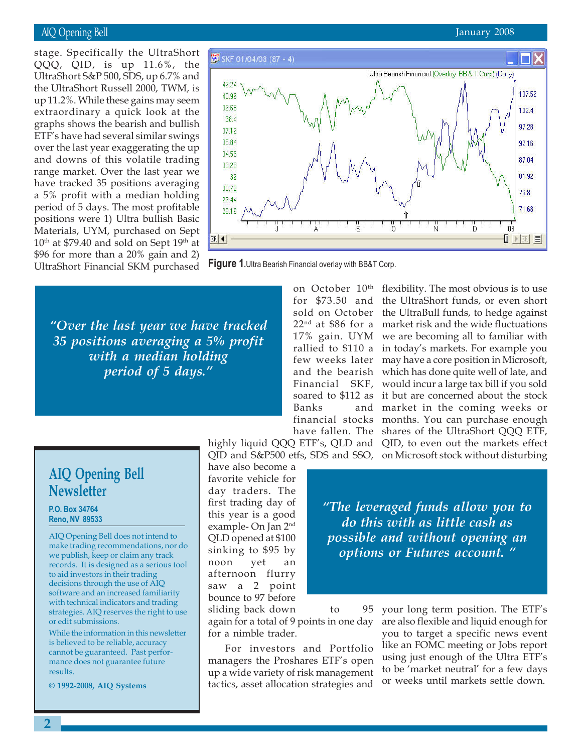### AIQ Opening Bell

the UltraShort Russell 2000, TWM, is<br>up 11.2% While these gains may seem stage. Specifically the UltraShort QQQ, QID, is up 11.6%, the UltraShort S&P 500, SDS, up 6.7% and up 11.2%. While these gains may seem extraordinary a quick look at the graphs shows the bearish and bullish ETF's have had several similar swings over the last year exaggerating the up and downs of this volatile trading range market. Over the last year we have tracked 35 positions averaging a 5% profit with a median holding period of 5 days. The most profitable positions were 1) Ultra bullish Basic Materials, UYM, purchased on Sept 10th at \$79.40 and sold on Sept 19th at \$96 for more than a 20% gain and 2) UltraShort Financial SKM purchased



**Figure 1.**Ultra Bearish Financial overlay with BB&T Corp.

*"Over the last year we have tracked 35 positions averaging a 5% profit with a median holding period of 5 days."*

Banks and

on October 10<sup>th</sup>

for \$73.50 and the UltraShort funds, or even short sold on October the UltraBull funds, to hedge against 22nd at \$86 for a market risk and the wide fluctuations 17% gain. UYM we are becoming all to familiar with rallied to \$110 a in today's markets. For example you few weeks later may have a core position in Microsoft, and the bearish which has done quite well of late, and Financial SKF, would incur a large tax bill if you sold soared to \$112 as it but are concerned about the stock financial stocks months. You can purchase enough have fallen. The shares of the UltraShort QQQ ETF, highly liquid QQQ ETF's, QLD and QID, to even out the markets effect flexibility. The most obvious is to use market in the coming weeks or

# QID and S&P500 etfs, SDS and SSO, on Microsoft stock without disturbing

have also become a favorite vehicle for day traders. The first trading day of this year is a good example- On Jan 2nd QLD opened at \$100 sinking to \$95 by noon yet an afternoon flurry saw a 2 point bounce to 97 before

*"The leveraged funds allow you to do this with as little cash as possible and without opening an options or Futures account. "*

# **AIQ Opening Bell Newsletter**

**P.O. Box 34764 Reno, NV 89533**

AIQ Opening Bell does not intend to make trading recommendations, nor do we publish, keep or claim any track records. It is designed as a serious tool to aid investors in their trading decisions through the use of AIQ software and an increased familiarity with technical indicators and trading strategies. AIQ reserves the right to use or edit submissions.

While the information in this newsletter is believed to be reliable, accuracy cannot be guaranteed. Past performance does not guarantee future results.

**© 1992-2008, AIQ Systems**

sliding back down to 95 again for a total of 9 points in one day for a nimble trader.

For investors and Portfolio managers the Proshares ETF's open up a wide variety of risk management tactics, asset allocation strategies and your long term position. The ETF's are also flexible and liquid enough for you to target a specific news event like an FOMC meeting or Jobs report using just enough of the Ultra ETF's to be 'market neutral' for a few days or weeks until markets settle down.

### January 2008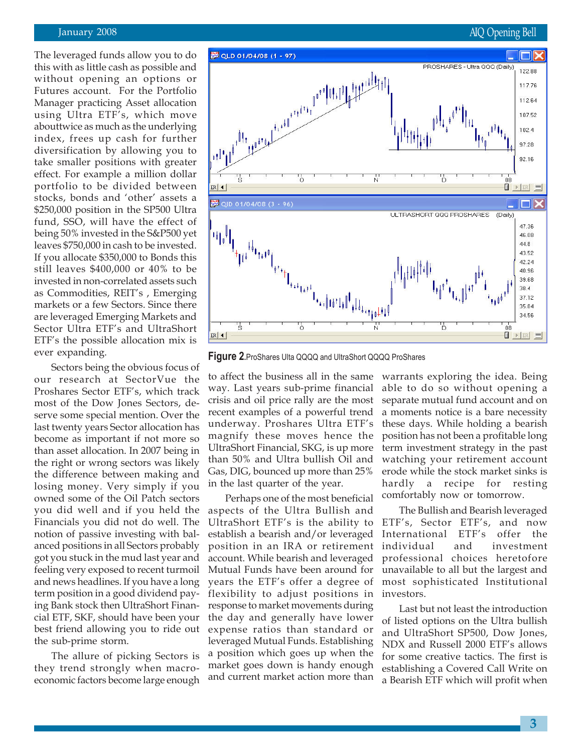### September 2005 January 2008 AIQ Opening Bell

The leveraged funds allow you to do this with as little cash as possible and without opening an options or Futures account. For the Portfolio Manager practicing Asset allocation using Ultra ETF's, which move abouttwice as much as the underlying index, frees up cash for further diversification by allowing you to take smaller positions with greater effect. For example a million dollar portfolio to be divided between stocks, bonds and 'other' assets a \$250,000 position in the SP500 Ultra fund, SSO, will have the effect of being 50% invested in the S&P500 yet leaves \$750,000 in cash to be invested. If you allocate \$350,000 to Bonds this still leaves \$400,000 or 40% to be invested in non-correlated assets such as Commodities, REIT's , Emerging markets or a few Sectors. Since there are leveraged Emerging Markets and Sector Ultra ETF's and UltraShort ETF's the possible allocation mix is ever expanding.

Sectors being the obvious focus of our research at SectorVue the Proshares Sector ETF's, which track most of the Dow Jones Sectors, deserve some special mention. Over the last twenty years Sector allocation has become as important if not more so than asset allocation. In 2007 being in the right or wrong sectors was likely the difference between making and losing money. Very simply if you owned some of the Oil Patch sectors you did well and if you held the Financials you did not do well. The notion of passive investing with balanced positions in all Sectors probably got you stuck in the mud last year and feeling very exposed to recent turmoil and news headlines. If you have a long term position in a good dividend paying Bank stock then UltraShort Financial ETF, SKF, should have been your best friend allowing you to ride out the sub-prime storm.

The allure of picking Sectors is they trend strongly when macroeconomic factors become large enough



**Figure 2.**ProShares Ulta QQQQ and UltraShort QQQQ ProShares

to affect the business all in the same way. Last years sub-prime financial crisis and oil price rally are the most recent examples of a powerful trend underway. Proshares Ultra ETF's magnify these moves hence the UltraShort Financial, SKG, is up more than 50% and Ultra bullish Oil and Gas, DIG, bounced up more than 25% in the last quarter of the year.

Perhaps one of the most beneficial aspects of the Ultra Bullish and UltraShort ETF's is the ability to establish a bearish and/or leveraged position in an IRA or retirement account. While bearish and leveraged Mutual Funds have been around for years the ETF's offer a degree of flexibility to adjust positions in response to market movements during the day and generally have lower expense ratios than standard or leveraged Mutual Funds. Establishing a position which goes up when the market goes down is handy enough and current market action more than

warrants exploring the idea. Being able to do so without opening a separate mutual fund account and on a moments notice is a bare necessity these days. While holding a bearish position has not been a profitable long term investment strategy in the past watching your retirement account erode while the stock market sinks is hardly a recipe for resting comfortably now or tomorrow.

The Bullish and Bearish leveraged ETF's, Sector ETF's, and now International ETF's offer the individual and investment professional choices heretofore unavailable to all but the largest and most sophisticated Institutional investors.

Last but not least the introduction of listed options on the Ultra bullish and UltraShort SP500, Dow Jones, NDX and Russell 2000 ETF's allows for some creative tactics. The first is establishing a Covered Call Write on a Bearish ETF which will profit when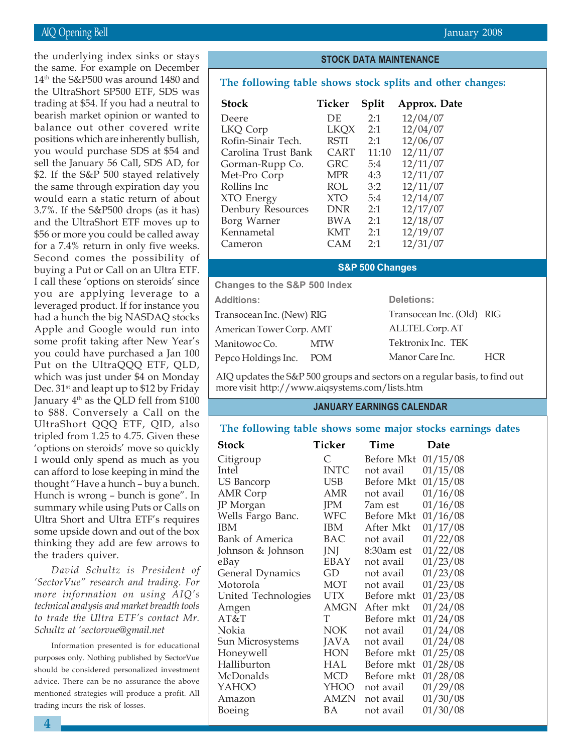the UltraShort SP500 ETF, SDS was the underlying index sinks or stays the same. For example on December 14th the S&P500 was around 1480 and trading at \$54. If you had a neutral to bearish market opinion or wanted to balance out other covered write positions which are inherently bullish, you would purchase SDS at \$54 and sell the January 56 Call, SDS AD, for \$2. If the S&P 500 stayed relatively the same through expiration day you would earn a static return of about 3.7%. If the S&P500 drops (as it has) and the UltraShort ETF moves up to \$56 or more you could be called away for a 7.4% return in only five weeks. Second comes the possibility of buying a Put or Call on an Ultra ETF. I call these 'options on steroids' since you are applying leverage to a leveraged product. If for instance you had a hunch the big NASDAQ stocks Apple and Google would run into some profit taking after New Year's you could have purchased a Jan 100 Put on the UltraQQQ ETF, QLD, which was just under \$4 on Monday Dec.  $31<sup>st</sup>$  and leapt up to \$12 by Friday January  $4<sup>th</sup>$  as the QLD fell from \$100 to \$88. Conversely a Call on the UltraShort QQQ ETF, QID, also tripled from 1.25 to 4.75. Given these 'options on steroids' move so quickly I would only spend as much as you can afford to lose keeping in mind the thought "Have a hunch – buy a bunch. Hunch is wrong – bunch is gone". In summary while using Puts or Calls on Ultra Short and Ultra ETF's requires some upside down and out of the box thinking they add are few arrows to the traders quiver.

*David Schultz is President of 'SectorVue" research and trading. For more information on using AIQ's technical analysis and market breadth tools to trade the Ultra ETF's contact Mr. Schultz at 'sectorvue@gmail.net*

Information presented is for educational purposes only. Nothing published by SectorVue should be considered personalized investment advice. There can be no assurance the above mentioned strategies will produce a profit. All trading incurs the risk of losses.

### **STOCK DATA MAINTENANCE**

### **The following table shows stock splits and other changes:**

| <b>Stock</b>        | Ticker      | Split | Approx. Date |
|---------------------|-------------|-------|--------------|
| Deere               | DE          | 2:1   | 12/04/07     |
| LKQ Corp            | <b>LKOX</b> | 2:1   | 12/04/07     |
| Rofin-Sinair Tech.  | <b>RSTI</b> | 2:1   | 12/06/07     |
| Carolina Trust Bank | CART        | 11:10 | 12/11/07     |
| Gorman-Rupp Co.     | GRC         | 5:4   | 12/11/07     |
| Met-Pro Corp        | <b>MPR</b>  | 4:3   | 12/11/07     |
| Rollins Inc.        | ROL         | 3:2   | 12/11/07     |
| XTO Energy          | <b>XTO</b>  | 5:4   | 12/14/07     |
| Denbury Resources   | <b>DNR</b>  | 2:1   | 12/17/07     |
| Borg Warner         | <b>BWA</b>  | 2:1   | 12/18/07     |
| Kennametal          | <b>KMT</b>  | 2:1   | 12/19/07     |
| Cameron             | CAM         | 2:1   | 12/31/07     |

### **S&P 500 Changes**

**Changes to the S&P 500 Index**

| <b>Additions:</b>         |            | <b>Deletions:</b>         |            |  |
|---------------------------|------------|---------------------------|------------|--|
| Transocean Inc. (New) RIG |            | Transocean Inc. (Old) RIG |            |  |
| American Tower Corp. AMT  |            | ALLTEL Corp. AT           |            |  |
| Manitowoc Co.             | <b>MTW</b> | Tektronix Inc. TEK        |            |  |
| Pepco Holdings Inc.       | POM        | Manor Care Inc.           | <b>HCR</b> |  |

AIQ updates the S&P 500 groups and sectors on a regular basis, to find out more visit http://www.aiqsystems.com/lists.htm

### **JANUARY EARNINGS CALENDAR**

### **The following table shows some major stocks earnings dates**

| Stock               | Ticker      | Time       | Date     |
|---------------------|-------------|------------|----------|
| Citigroup           | $\subset$   | Before Mkt | 01/15/08 |
| Intel               | <b>INTC</b> | not avail  | 01/15/08 |
| <b>US Bancorp</b>   | USB         | Before Mkt | 01/15/08 |
| <b>AMR</b> Corp     | AMR         | not avail  | 01/16/08 |
| JP Morgan           | <b>IPM</b>  | 7am est    | 01/16/08 |
| Wells Fargo Banc.   | <b>WFC</b>  | Before Mkt | 01/16/08 |
| IBM                 | IBM         | After Mkt  | 01/17/08 |
| Bank of America     | BAC         | not avail  | 01/22/08 |
| Johnson & Johnson   | JNJ         | 8:30am est | 01/22/08 |
| eBay                | EBAY        | not avail  | 01/23/08 |
| General Dynamics    | GD          | not avail  | 01/23/08 |
| Motorola            | MOT         | not avail  | 01/23/08 |
| United Technologies | UTX         | Before mkt | 01/23/08 |
| Amgen               | AMGN        | After mkt  | 01/24/08 |
| AT&T                | T           | Before mkt | 01/24/08 |
| Nokia               | <b>NOK</b>  | not avail  | 01/24/08 |
| Sun Microsystems    | <b>JAVA</b> | not avail  | 01/24/08 |
| Honeywell           | <b>HON</b>  | Before mkt | 01/25/08 |
| Halliburton         | <b>HAL</b>  | Before mkt | 01/28/08 |
| McDonalds           | MCD         | Before mkt | 01/28/08 |
| YAHOO               | YHOO        | not avail  | 01/29/08 |
| Amazon              | <b>AMZN</b> | not avail  | 01/30/08 |
| Boeing              | ВA          | not avail  | 01/30/08 |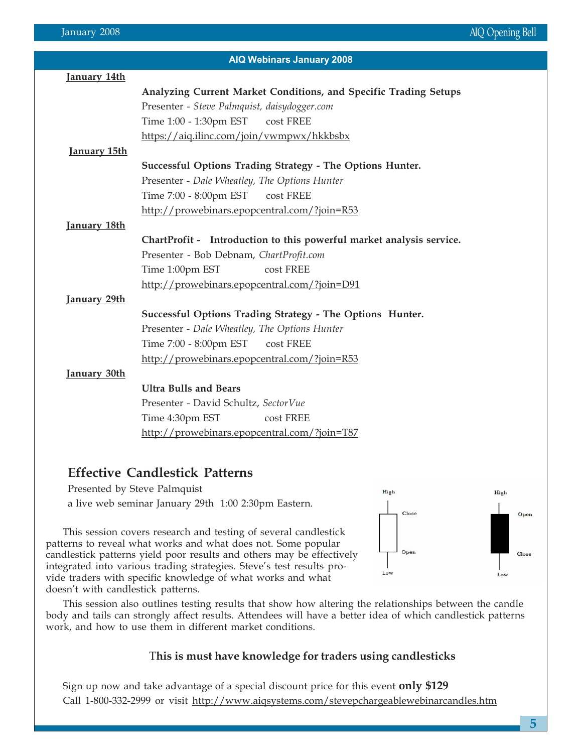| <b>AIQ Webinars January 2008</b> |                                                                      |  |  |  |
|----------------------------------|----------------------------------------------------------------------|--|--|--|
| January 14th                     |                                                                      |  |  |  |
|                                  | Analyzing Current Market Conditions, and Specific Trading Setups     |  |  |  |
|                                  | Presenter - Steve Palmquist, daisydogger.com                         |  |  |  |
|                                  | Time 1:00 - 1:30pm EST<br>cost FREE                                  |  |  |  |
|                                  | https://aiq.ilinc.com/join/vwmpwx/hkkbsbx                            |  |  |  |
| January 15th                     |                                                                      |  |  |  |
|                                  | Successful Options Trading Strategy - The Options Hunter.            |  |  |  |
|                                  | Presenter - Dale Wheatley, The Options Hunter                        |  |  |  |
|                                  | Time 7:00 - 8:00pm EST<br>cost FREE                                  |  |  |  |
|                                  | http://prowebinars.epopcentral.com/?join=R53                         |  |  |  |
| <u>January 18th</u>              |                                                                      |  |  |  |
|                                  | ChartProfit - Introduction to this powerful market analysis service. |  |  |  |
|                                  | Presenter - Bob Debnam, ChartProfit.com                              |  |  |  |
|                                  | Time 1:00pm EST<br>cost FREE                                         |  |  |  |
|                                  | http://prowebinars.epopcentral.com/?join=D91                         |  |  |  |
| January 29th                     |                                                                      |  |  |  |
|                                  | Successful Options Trading Strategy - The Options Hunter.            |  |  |  |
|                                  | Presenter - Dale Wheatley, The Options Hunter                        |  |  |  |
|                                  | Time 7:00 - 8:00pm EST<br>cost FREE                                  |  |  |  |
|                                  | http://prowebinars.epopcentral.com/?join=R53                         |  |  |  |
| January 30th                     |                                                                      |  |  |  |
|                                  | <b>Ultra Bulls and Bears</b>                                         |  |  |  |
|                                  | Presenter - David Schultz, SectorVue                                 |  |  |  |
|                                  | Time 4:30pm EST<br>cost FREE                                         |  |  |  |
|                                  | http://prowebinars.epopcentral.com/?join=T87                         |  |  |  |

### **Effective Candlestick Patterns**

Presented by Steve Palmquist a live web seminar January 29th 1:00 2:30pm Eastern.

This session covers research and testing of several candlestick patterns to reveal what works and what does not. Some popular candlestick patterns yield poor results and others may be effectively integrated into various trading strategies. Steve's test results provide traders with specific knowledge of what works and what doesn't with candlestick patterns.



This session also outlines testing results that show how altering the relationships between the candle body and tails can strongly affect results. Attendees will have a better idea of which candlestick patterns work, and how to use them in different market conditions.

### T**his is must have knowledge for traders using candlesticks**

Sign up now and take advantage of a special discount price for this event **only \$129** Call 1-800-332-2999 or visit http://www.aiqsystems.com/stevepchargeablewebinarcandles.htm